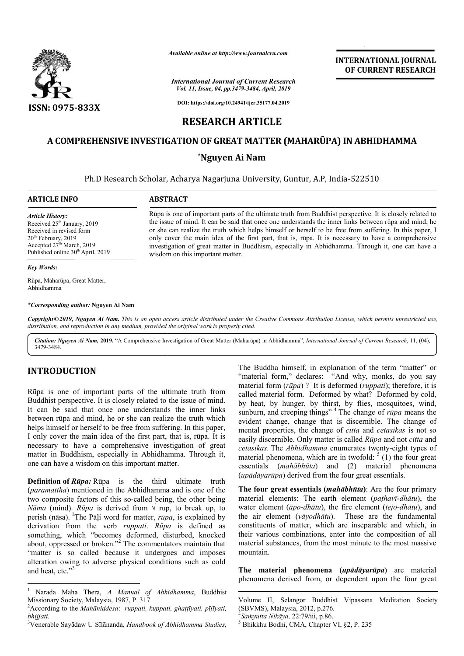

*Available online at http://www.journalcra.com*

*International Journal of Current Research Vol. 11, Issue, 04, pp.3479-3484, April, 2019*

**INTERNATIONAL JOURNAL OF CURRENT RESEARCH**

**DOI: https://doi.org/10.24941/ijcr.35177.04.2019**

# **RESEARCH ARTICLE**

## **A COMPREHENSIVE INVESTIGATION OF GREAT MATTER (MAHARŪPA) IN ABHIDHAMMA A**

## **\*Nguyen Ai Nam**

Ph.D Research Scholar, Acharya Nagarjuna University, Guntur, A.P, India-522510

Rūpa is one of important parts of the ultimate truth from Buddhist perspective. It is closely related to the issue of mind. It can be said that once one understands the inner links between rūpa and mind, he or she can realize the truth which helps himself or herself to be free from suffering. In this paper, I only cover the main idea of the first part, that is, rūpa. It is necessary to have a comprehensive investigation of great matter in Buddhism, especially in Abhidhamma. Through it, one can have a

Rūpa is one of important parts of the ultimate truth from Buddhist perspective. It is closely related to the issue of mind. It can be said that once one understands the inner links between rūpa and mind, he or she can real

### **ARTICLE INFO ABSTRACT**

wisdom on this important matter.

*Article History:* Received 25<sup>th</sup> January, 2019 Received in revised form 20<sup>th</sup> February, 2019 Accepted 27<sup>th</sup> March, 2019 Published online 30<sup>th</sup> April, 2019

*Key Words:*

Rūpa, Maharūpa, Great Matter, Abhidhamma

*\*Corresponding author:* **Nguyen Ai Nam**

Copyright©2019, Nguyen Ai Nam. This is an open access article distributed under the Creative Commons Attribution License, which permits unrestricted use, *distribution, and reproduction in any medium, provided the original work is properly cited.*

Citation: Nguyen Ai Nam, 2019. "A Comprehensive Investigation of Great Matter (Maharūpa) in Abhidhamma", *International Journal of Current Research*, 11, (04), 3479-3484.

## **INTRODUCTION**

Rūpa is one of important parts of the ultimate truth from Buddhist perspective. It is closely related to the issue of mind. It can be said that once one understands the inner links between rūpa and mind, he or she can realize the truth which helps himself or herself to be free from suffering. In this paper, I only cover the main idea of the first part, that is, rūpa. It is necessary to have a comprehensive investigation of great matter in Buddhism, especially in Abhidhamma. Through it, one can have a wisdom on this important matter.

**Definition of** *Rūpa:* Rūpa is the third ultimate truth (*paramattha*) mentioned in the Abhidhamma and is one of the two composite factors of this so-called being, the other being two composite factors of this so-called being, the other being *Nāma* (mind). *Rūpa* is derived from  $\sqrt{\text{rup}}$ , to break up, to perish (nāsa). <sup>1</sup>The Pāḷi word for matter, *rūpa*, is explained by derivation from the verb *ruppati*. *Rūpa*  is defined as something, which "becomes deformed, disturbed, knocked about, oppressed or broken."<sup>2</sup> The commentators maintain that "matter is so called because it undergoes and imposes alteration owing to adverse physical conditions such as cold and heat, etc."<sup>3</sup>

The Buddha himself, in explanation of the term "matter" or "material form," declares: "And why, monks, do you say material form (*rūpa*)? It is deformed (*ruppati*); therefore, it is called material form. Deformed by what? Deformed by cold, called material form. Deformed by what? Deformed by cold, by heat, by hunger, by thirst, by flies, mosquitoes, wind, sunburn, and creeping things"<sup>4</sup> The change of *rūpa* means the evident change, change that is discernible. The change of evident change, change that is discernible. The change of mental properties, the change of *citta* and *cetasikas* is not so easily discernible. Only matter is called Rūpa and not *citta* and cetasikas. The *Abhidhamma* enumerates twenty-eight types of material phenomena, which are in twofold:  $5(1)$  the four great essentials (*mahābhūta*) and (2) material phenomena (*upādāyarūpa*) derived from the four great essentials.

**The four great essentials (***mahābhūta* **)**: Are the four primary material elements: The earth element ( *paṭhavī*-*dhātu*), the water element ( $\bar{a}po$ -*dhātu*), the fire element (tejo-*dhātu*), and the air element (*vāyodhātu*). These are the fundamental constituents of matter, which are inseparable and which, in their various combinations, enter into the composition of all material substances, from the most minute to the most massive mountain. ir element (*vāyodhātu*). These are the fundamental ituents of matter, which are inseparable and which, in various combinations, enter into the composition of all

**The material phenomena (** *upādāyarūpa***)** are material phenomena derived from, or dependent upon the four great

 <sup>1</sup> Narada Maha Thera, *A Manual of Abhidhamma* , Buddhist Missionary Society, Malaysia, 1987, P. 317

<sup>2</sup> According to the *Mahāniddesa*: *ruppati, kuppati, ghaṭṭīyati, pīḷīyati, bhijjati.*

<sup>3</sup> Venerable Sayādaw U Sīlānanda, *Handbook of Abhidhamma Studies* ,

Volume II, Selangor Buddhist Vipassana Meditation Society (SBVMS), Malaysia, 2012, p.276. phenomena derived from, or dependent<br>
Volume II, Selangor Buddhist Vipassana<br>
(SBVMS), Malaysia, 2012, p.276.<br>
<sup>4</sup>Sa*myutta Nikāya*, 22:79/iii, p.86.<br>
<sup>5</sup> Bhikkhu Bodhi, CMA, Chapter VI, §2, P. 235

<sup>&</sup>lt;sup>4</sup>Samyutta Nikāya, 22:79/iii, p.86.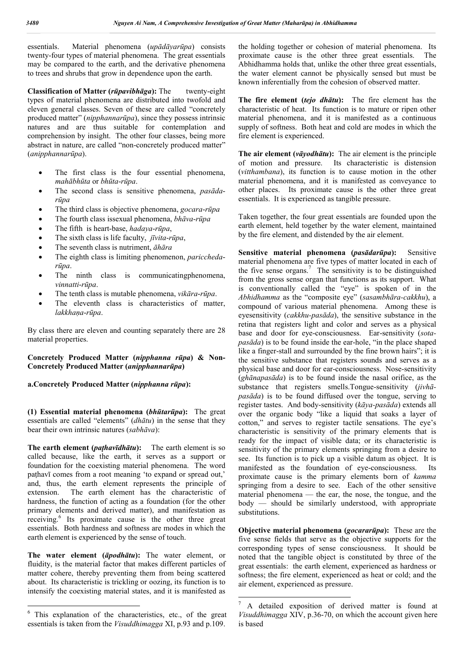essentials. Material phenomena (*upādāyarūpa*) consists twenty-four types of material phenomena. The great essentials may be compared to the earth, and the derivative phenomena to trees and shrubs that grow in dependence upon the earth.

**Classification of Matter (***rūpavibhāga***):** The twenty-eight types of material phenomena are distributed into twofold and eleven general classes. Seven of these are called "concretely produced matter" (*nipphannarūpa*), since they possess intrinsic natures and are thus suitable for contemplation and comprehension by insight. The other four classes, being more abstract in nature, are called "non-concretely produced matter" (*anipphannarūpa*).

- The first class is the four essential phenomena, *mahābhūta* or *bhūta*-*rūpa*.
- The second class is sensitive phenomena, *pasādarūpa*
- The third class is objective phenomena, *gocara*-*rūpa*
- The fourth class issexual phenomena, *bhāva*-*rūpa*
- The fifth is heart-base, *hadaya*-*rūpa*,
- The sixth class is life faculty, *jīvita*-*rūpa*,
- The seventh class is nutriment, *āhāra*
- The eighth class is limiting phenomenon, *paricchedarūpa*.
- The ninth class is communicatingphenomena, *vinnatti*-*rūpa*.
- The tenth class is mutable phenomena, *vikāra*-*rūpa*.
- The eleventh class is characteristics of matter, *lakkhaṇa*-*rūpa*.

By class there are eleven and counting separately there are 28 material properties.

## **Concretely Produced Matter (***nipphanna rūpa***) & Non-Concretely Produced Matter (***anipphannarūpa***)**

#### **a.Concretely Produced Matter (***nipphanna rūpa***):**

**(1) Essential material phenomena (***bhūtarūpa***):** The great essentials are called "elements" (*dhātu*) in the sense that they bear their own intrinsic natures (*sabhāva*):

**The earth element (***paṭhavīdhātu***):** The earth element is so called because, like the earth, it serves as a support or foundation for the coexisting material phenomena. The word pathavī comes from a root meaning 'to expand or spread out.' and, thus, the earth element represents the principle of extension. The earth element has the characteristic of hardness, the function of acting as a foundation (for the other primary elements and derived matter), and manifestation as receiving.<sup>6</sup> Its proximate cause is the other three great essentials. Both hardness and softness are modes in which the earth element is experienced by the sense of touch.

**The water element (***āpodhātu***):** The water element, or fluidity, is the material factor that makes different particles of matter cohere, thereby preventing them from being scattered about. Its characteristic is trickling or oozing, its function is to intensify the coexisting material states, and it is manifested as

the holding together or cohesion of material phenomena. Its proximate cause is the other three great essentials. The Abhidhamma holds that, unlike the other three great essentials, the water element cannot be physically sensed but must be known inferentially from the cohesion of observed matter.

**The fire element (***tejo dhātu***):** The fire element has the characteristic of heat. Its function is to mature or ripen other material phenomena, and it is manifested as a continuous supply of softness. Both heat and cold are modes in which the fire element is experienced.

**The air element (***vāyodhātu***):** The air element is the principle of motion and pressure. Its characteristic is distension (*vitthambana*), its function is to cause motion in the other material phenomena, and it is manifested as conveyance to other places. Its proximate cause is the other three great essentials. It is experienced as tangible pressure.

Taken together, the four great essentials are founded upon the earth element, held together by the water element, maintained by the fire element, and distended by the air element.

**Sensitive material phenomena (***pasādarūpa***):** Sensitive material phenomena are five types of matter located in each of the five sense organs.<sup>7</sup> The sensitivity is to be distinguished from the gross sense organ that functions as its support. What is conventionally called the "eye" is spoken of in the *Abhidhamma* as the "composite eye" (*sasambhāra-cakkhu*), a compound of various material phenomena. Among these is eyesensitivity (*cakkhu-pasāda*), the sensitive substance in the retina that registers light and color and serves as a physical base and door for eye-consciousness. Ear-sensitivity (*sotapasāda*) is to be found inside the ear-hole, "in the place shaped like a finger-stall and surrounded by the fine brown hairs"; it is the sensitive substance that registers sounds and serves as a physical base and door for ear-consciousness. Nose-sensitivity (*ghānapasāda*) is to be found inside the nasal orifice, as the substance that registers smells.Tongue-sensitivity (*jivhāpasāda*) is to be found diffused over the tongue, serving to register tastes. And body-sensitivity (*kāya-pasāda*) extends all over the organic body "like a liquid that soaks a layer of cotton," and serves to register tactile sensations. The eye's characteristic is sensitivity of the primary elements that is ready for the impact of visible data; or its characteristic is sensitivity of the primary elements springing from a desire to see. Its function is to pick up a visible datum as object. It is manifested as the foundation of eye-consciousness. Its proximate cause is the primary elements born of *kamma* springing from a desire to see. Each of the other sensitive material phenomena — the ear, the nose, the tongue, and the body — should be similarly understood, with appropriate substitutions.

**Objective material phenomena (***gocararūpa***):** These are the five sense fields that serve as the objective supports for the corresponding types of sense consciousness. It should be noted that the tangible object is constituted by three of the great essentials: the earth element, experienced as hardness or softness; the fire element, experienced as heat or cold; and the air element, experienced as pressure.

 $6$  This explanation of the characteristics, etc., of the great essentials is taken from the *Visuddhimagga* XI, p.93 and p.109.

 <sup>7</sup> A detailed exposition of derived matter is found at *Visuddhimagga* XIV, p.36-70, on which the account given here is based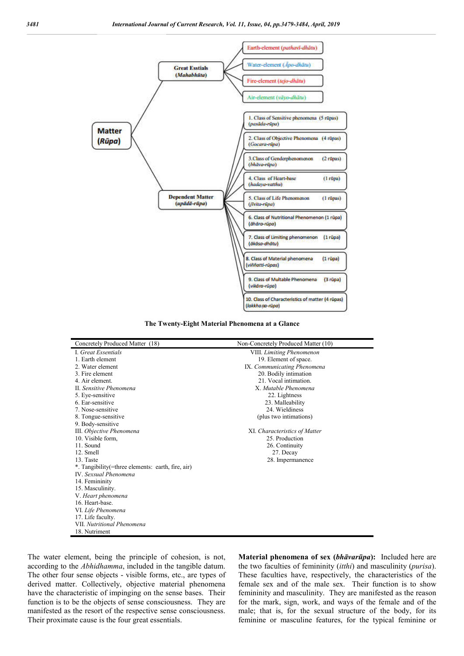

**The Twenty-Eight Material Phenomena at a Glance**

| Concretely Produced Matter (18)                     | Non-Concretely Produced Matter (10) |
|-----------------------------------------------------|-------------------------------------|
| L Great Essentials                                  | VIII. Limiting Phenomenon           |
| 1. Earth element                                    | 19. Element of space.               |
| 2. Water element                                    | IX. Communicating Phenomena         |
| 3. Fire element                                     | 20. Bodily intimation               |
| 4. Air element.                                     | 21. Vocal intimation.               |
| II. Sensitive Phenomena                             | X. Mutable Phenomena                |
| 5. Eye-sensitive                                    | 22. Lightness                       |
| 6. Ear-sensitive                                    | 23. Malleability                    |
| 7. Nose-sensitive                                   | 24. Wieldiness                      |
| 8. Tongue-sensitive                                 | (plus two intimations)              |
| 9. Body-sensitive                                   |                                     |
| III. Objective Phenomena                            | XI. Characteristics of Matter       |
| 10. Visible form,                                   | 25. Production                      |
| 11. Sound                                           | 26. Continuity                      |
| 12. Smell                                           | 27. Decay                           |
| 13. Taste                                           | 28. Impermanence                    |
| *. Tangibility (= three elements: earth, fire, air) |                                     |
| <b>IV</b> . Sexsual Phenomena                       |                                     |
| 14. Femininity                                      |                                     |
| 15. Masculinity.                                    |                                     |
| V. Heart phenomena                                  |                                     |
| 16. Heart-base.                                     |                                     |
| VI. Life Phenomena                                  |                                     |
| 17. Life faculty.                                   |                                     |
| VII. Nutritional Phenomena                          |                                     |
| 18. Nutriment                                       |                                     |

The water element, being the principle of cohesion, is not, according to the *Abhidhamma*, included in the tangible datum. The other four sense objects - visible forms, etc., are types of derived matter. Collectively, objective material phenomena have the characteristic of impinging on the sense bases. Their function is to be the objects of sense consciousness. They are manifested as the resort of the respective sense consciousness. Their proximate cause is the four great essentials.

**Material phenomena of sex (***bhāvarūpa***):** Included here are the two faculties of femininity (*itthi*) and masculinity (*purisa*). These faculties have, respectively, the characteristics of the female sex and of the male sex. Their function is to show femininity and masculinity. They are manifested as the reason for the mark, sign, work, and ways of the female and of the male; that is, for the sexual structure of the body, for its feminine or masculine features, for the typical feminine or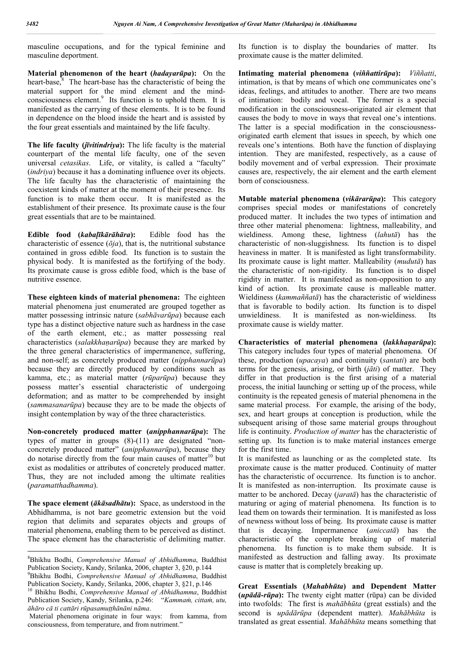masculine occupations, and for the typical feminine and masculine deportment.

**Material phenomenon of the heart (***hadayarūpa***):** On the heart-base, $\frac{8}{3}$  The heart-base has the characteristic of being the material support for the mind element and the mindconsciousness element.<sup>9</sup> Its function is to uphold them. It is manifested as the carrying of these elements. It is to be found in dependence on the blood inside the heart and is assisted by the four great essentials and maintained by the life faculty.

**The life faculty (***jīvitindriya***):** The life faculty is the material counterpart of the mental life faculty, one of the seven universal *cetasikas*. Life, or vitality, is called a "faculty" (*indriya*) because it has a dominating influence over its objects. The life faculty has the characteristic of maintaining the coexistent kinds of matter at the moment of their presence. Its function is to make them occur. It is manifested as the establishment of their presence. Its proximate cause is the four great essentials that are to be maintained.

**Edible food (***kabaḷīkārāhāra***):** Edible food has the characteristic of essence  $(\bar{o}ja)$ , that is, the nutritional substance contained in gross edible food. Its function is to sustain the physical body. It is manifested as the fortifying of the body. Its proximate cause is gross edible food, which is the base of nutritive essence.

**These eighteen kinds of material phenomena:** The eighteen material phenomena just enumerated are grouped together as matter possessing intrinsic nature (*sabhāvarūpa*) because each type has a distinct objective nature such as hardness in the case of the earth element, etc.; as matter possessing real characteristics (*salakkhaṇarūpa*) because they are marked by the three general characteristics of impermanence, suffering, and non-self; as concretely produced matter (*nipphannarūpa*) because they are directly produced by conditions such as kamma, etc.; as material matter (*rūparūpa*) because they possess matter's essential characteristic of undergoing deformation; and as matter to be comprehended by insight (*sammasanarūpa*) because they are to be made the objects of insight contemplation by way of the three characteristics.

**Non-concretely produced matter (***anipphannarūpa***):** The types of matter in groups (8)-(11) are designated "nonconcretely produced matter" (*anipphannarūpa*), because they do notarise directly from the four main causes of matter<sup>10</sup> but exist as modalities or attributes of concretely produced matter. Thus, they are not included among the ultimate realities (*paramatthadhamma*).

**The space element (***ākāsadhātu***):** Space, as understood in the Abhidhamma, is not bare geometric extension but the void region that delimits and separates objects and groups of material phenomena, enabling them to be perceived as distinct. The space element has the characteristic of delimiting matter. Its function is to display the boundaries of matter. Its proximate cause is the matter delimited.

**Intimating material phenomena (***viññattirūpa***):** *Viññatti*, intimation, is that by means of which one communicates one's ideas, feelings, and attitudes to another. There are two means of intimation: bodily and vocal. The former is a special modification in the consciousness-originated air element that causes the body to move in ways that reveal one's intentions. The latter is a special modification in the consciousnessoriginated earth element that issues in speech, by which one reveals one's intentions. Both have the function of displaying intention. They are manifested, respectively, as a cause of bodily movement and of verbal expression. Their proximate causes are, respectively, the air element and the earth element born of consciousness.

**Mutable material phenomena (***vikārarūpa***):** This category comprises special modes or manifestations of concretely produced matter. It includes the two types of intimation and three other material phenomena: lightness, malleability, and wieldiness. Among these, lightness (*lahutā*) has the characteristic of non-sluggishness. Its function is to dispel heaviness in matter. It is manifested as light transformability. Its proximate cause is light matter. Malleability (*mudutā*) has the characteristic of non-rigidity. Its function is to dispel rigidity in matter. It is manifested as non-opposition to any kind of action. Its proximate cause is malleable matter. Wieldiness (*kammaññatā*) has the characteristic of wieldiness that is favorable to bodily action. Its function is to dispel unwieldiness. It is manifested as non-wieldiness. Its proximate cause is wieldy matter.

**Characteristics of material phenomena (***lakkhaṇarūpa***):** This category includes four types of material phenomena. Of these, production (*upacaya*) and continuity (*santati*) are both terms for the genesis, arising, or birth (*jāti*) of matter. They differ in that production is the first arising of a material process, the initial launching or setting up of the process, while continuity is the repeated genesis of material phenomena in the same material process. For example, the arising of the body, sex, and heart groups at conception is production, while the subsequent arising of those same material groups throughout life is continuity. *Production of matter* has the characteristic of setting up. Its function is to make material instances emerge for the first time.

It is manifested as launching or as the completed state. Its proximate cause is the matter produced. Continuity of matter has the characteristic of occurrence. Its function is to anchor. It is manifested as non-interruption. Its proximate cause is matter to be anchored. Decay (*jaratā*) has the characteristic of maturing or aging of material phenomena. Its function is to lead them on towards their termination. It is manifested as loss of newness without loss of being. Its proximate cause is matter that is decaying. Impermanence (*aniccatā*) has the characteristic of the complete breaking up of material phenomena. Its function is to make them subside. It is manifested as destruction and falling away. Its proximate cause is matter that is completely breaking up.

**Great Essentials (***Mahabhūta***) and Dependent Matter (***upādā-rūpa***):** The twenty eight matter (rūpa) can be divided into twofolds: The first is *mahābhūta* (great esstials) and the second is *upādārūpa* (dependent matter). *Mahābhūta* is translated as great essential. *Mahābhūta* means something that

 <sup>8</sup> Bhikhu Bodhi, *Comprehensive Manual of Abhidhamma*, Buddhist Publication Society, Kandy, Srilanka, 2006, chapter 3, §20, p.144 9 Bhikhu Bodhi, *Comprehensive Manual of Abhidhamma*, Buddhist

Publication Society, Kandy, Srilanka, 2006, chapter 3, §21, p.146 <sup>10</sup> Bhikhu Bodhi, *Comprehensive Manual of Abhidhamma*, Buddhist

Publication Society, Kandy, Srilanka, p.246: "*Kammaṁ, cittaṁ, utu, āhāro cā ti cattāri rūpasamuṭṭhānāni nāma*.

Material phenomena originate in four ways: from kamma, from consciousness, from temperature, and from nutriment."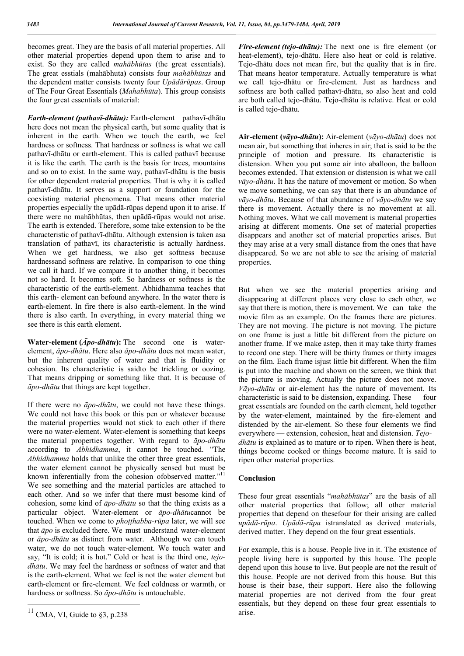becomes great. They are the basis of all material properties. All other material properties depend upon them to arise and to exist. So they are called *mahābhūtas* (the great essentials). The great esstials (mahābhuta**)** consists four *mahābhūtas* and the dependent matter consists twenty four *Upādārūpas*. Group of The Four Great Essentials (*Mahabhūta*). This group consists the four great essentials of material:

*Earth-element (pathavī-dhātu):* Earth-element pathavī-dhātu here does not mean the physical earth, but some quality that is inherent in the earth. When we touch the earth, we feel hardness or softness. That hardness or softness is what we call pathavī-dhātu or earth-element. This is called pathavī because it is like the earth. The earth is the basis for trees, mountains and so on to exist. In the same way, pathavī-dhātu is the basis for other dependent material properties. That is why it is called pathavī-dhātu. It serves as a support or foundation for the coexisting material phenomena. That means other material properties especially the upādā-rūpas depend upon it to arise. If there were no mahābhūtas, then upādā-rūpas would not arise. The earth is extended. Therefore, some take extension to be the characteristic of pathavī-dhātu. Although extension is taken asa translation of pathavī, its characteristic is actually hardness. When we get hardness, we also get softness because hardnessand softness are relative. In comparison to one thing we call it hard. If we compare it to another thing, it becomes not so hard. It becomes soft. So hardness or softness is the characteristic of the earth-element. Abhidhamma teaches that this earth- element can befound anywhere. In the water there is earth-element. In fire there is also earth-element. In the wind there is also earth. In everything, in every material thing we see there is this earth element.

**Water-element (***Apo-dhātu*): The second one is waterelement, *āpo-dhātu*. Here also *āpo*-*dhātu* does not mean water, but the inherent quality of water and that is fluidity or cohesion. Its characteristic is saidto be trickling or oozing. That means dripping or something like that. It is because of *āpo*-*dhātu* that things are kept together.

If there were no *āpo*-*dhātu*, we could not have these things. We could not have this book or this pen or whatever because the material properties would not stick to each other if there were no water-element. Water-element is something that keeps the material properties together. With regard to *āpo*-*dhātu* according to *Abhidhamma*, it cannot be touched. "The *Abhidhamma* holds that unlike the other three great essentials, the water element cannot be physically sensed but must be known inferentially from the cohesion ofobserved matter."<sup>11</sup> We see something and the material particles are attached to each other. And so we infer that there must besome kind of cohesion, some kind of *āpo-dhātu* so that the thing exists as a particular object. Water-element or *āpo-dhātu*cannot be touched. When we come to *phoṭṭhabba-rūpa* later, we will see that *āpo* is excluded there. We must understand water-element or *āpo-dhātu* as distinct from water. Although we can touch water, we do not touch water-element. We touch water and say, "It is cold; it is hot." Cold or heat is the third one, *tejodhātu*. We may feel the hardness or softness of water and that is the earth-element. What we feel is not the water element but earth-element or fire-element. We feel coldness or warmth, or hardness or softness. So *āpo*-*dhātu* is untouchable.

*Fire-element (tejo-dhātu):* The next one is fire element (or heat-element), tejo-dhātu. Here also heat or cold is relative. Tejo-dhātu does not mean fire, but the quality that is in fire. That means heator temperature. Actually temperature is what we call tejo-dhātu or fire-element. Just as hardness and softness are both called pathavī-dhātu, so also heat and cold are both called tejo-dhātu. Tejo-dhātu is relative. Heat or cold is called tejo-dhātu.

**Air-element (***vāyo-dhātu***):** Air-element (*vāyo-dhātu*) does not mean air, but something that inheres in air; that is said to be the principle of motion and pressure. Its characteristic is distension. When you put some air into aballoon, the balloon becomes extended. That extension or distension is what we call *vāyo-dhātu*. It has the nature of movement or motion. So when we move something, we can say that there is an abundance of *vāyo-dhātu*. Because of that abundance of *vāyo-dhātu* we say there is movement. Actually there is no movement at all. Nothing moves. What we call movement is material properties arising at different moments. One set of material properties disappears and another set of material properties arises. But they may arise at a very small distance from the ones that have disappeared. So we are not able to see the arising of material properties.

But when we see the material properties arising and disappearing at different places very close to each other, we say that there is motion, there is movement. We can take the movie film as an example. On the frames there are pictures. They are not moving. The picture is not moving. The picture on one frame is just a little bit different from the picture on another frame. If we make astep, then it may take thirty frames to record one step. There will be thirty frames or thirty images on the film. Each frame isjust little bit different. When the film is put into the machine and shown on the screen, we think that the picture is moving. Actually the picture does not move. *Vāyo-dhātu* or air-element has the nature of movement. Its characteristic is said to be distension, expanding. These four great essentials are founded on the earth element, held together by the water-element, maintained by the fire-element and distended by the air-element. So these four elements we find everywhere — extension, cohesion, heat and distension. *Tejodhātu* is explained as to mature or to ripen. When there is heat, things become cooked or things become mature. It is said to ripen other material properties.

## **Conclusion**

These four great essentials "*mahābhūtas*" are the basis of all other material properties that follow; all other material properties that depend on thesefour for their arising are called *upādā-rūpa*. *Upādā-rūpa* istranslated as derived materials, derived matter. They depend on the four great essentials.

For example, this is a house. People live in it. The existence of people living here is supported by this house. The people depend upon this house to live. But people are not the result of this house. People are not derived from this house. But this house is their base, their support. Here also the following material properties are not derived from the four great essentials, but they depend on these four great essentials to arise.

 $11$  CMA, VI, Guide to §3, p.238